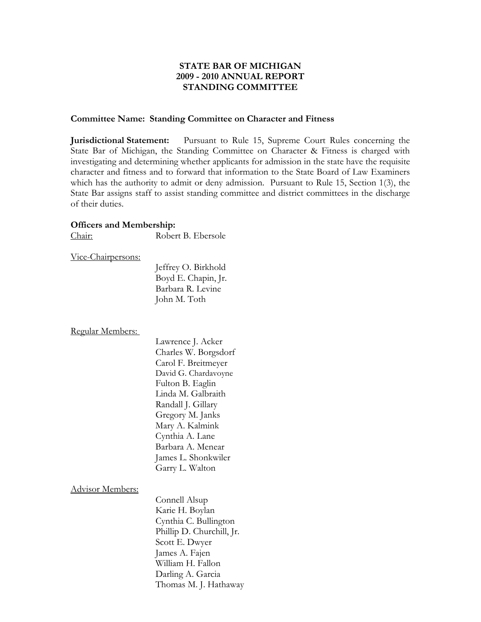# **STATE BAR OF MICHIGAN 2009 - 2010 ANNUAL REPORT STANDING COMMITTEE**

#### **Committee Name: Standing Committee on Character and Fitness**

**Jurisdictional Statement:** Pursuant to Rule 15, Supreme Court Rules concerning the State Bar of Michigan, the Standing Committee on Character & Fitness is charged with investigating and determining whether applicants for admission in the state have the requisite character and fitness and to forward that information to the State Board of Law Examiners which has the authority to admit or deny admission. Pursuant to Rule 15, Section 1(3), the State Bar assigns staff to assist standing committee and district committees in the discharge of their duties.

#### **Officers and Membership:**

Chair: Robert B. Ebersole

#### Vice-Chairpersons:

 Jeffrey O. Birkhold Boyd E. Chapin, Jr. Barbara R. Levine John M. Toth

Regular Members:

 Lawrence J. Acker Charles W. Borgsdorf Carol F. Breitmeyer David G. Chardavoyne Fulton B. Eaglin Linda M. Galbraith Randall J. Gillary Gregory M. Janks Mary A. Kalmink Cynthia A. Lane Barbara A. Menear James L. Shonkwiler Garry L. Walton

Advisor Members:

 Connell Alsup Karie H. Boylan Cynthia C. Bullington Phillip D. Churchill, Jr. Scott E. Dwyer James A. Fajen William H. Fallon Darling A. Garcia Thomas M. J. Hathaway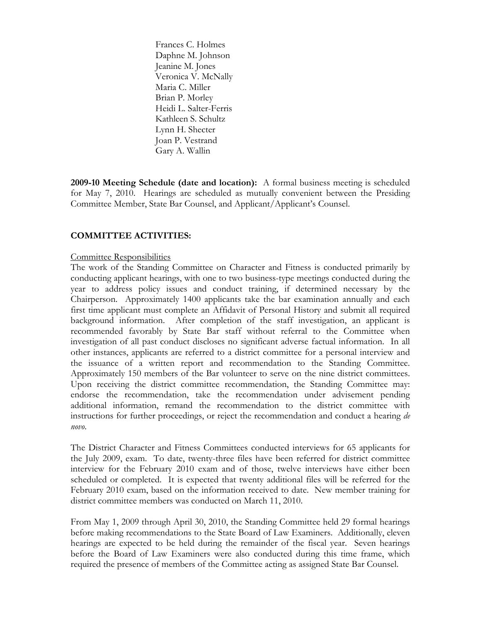Frances C. Holmes Daphne M. Johnson Jeanine M. Jones Veronica V. McNally Maria C. Miller Brian P. Morley Heidi L. Salter-Ferris Kathleen S. Schultz Lynn H. Shecter Joan P. Vestrand Gary A. Wallin

**2009-10 Meeting Schedule (date and location):** A formal business meeting is scheduled for May 7, 2010. Hearings are scheduled as mutually convenient between the Presiding Committee Member, State Bar Counsel, and Applicant/Applicant's Counsel.

# **COMMITTEE ACTIVITIES:**

#### Committee Responsibilities

The work of the Standing Committee on Character and Fitness is conducted primarily by conducting applicant hearings, with one to two business-type meetings conducted during the year to address policy issues and conduct training, if determined necessary by the Chairperson. Approximately 1400 applicants take the bar examination annually and each first time applicant must complete an Affidavit of Personal History and submit all required background information. After completion of the staff investigation, an applicant is recommended favorably by State Bar staff without referral to the Committee when investigation of all past conduct discloses no significant adverse factual information. In all other instances, applicants are referred to a district committee for a personal interview and the issuance of a written report and recommendation to the Standing Committee. Approximately 150 members of the Bar volunteer to serve on the nine district committees. Upon receiving the district committee recommendation, the Standing Committee may: endorse the recommendation, take the recommendation under advisement pending additional information, remand the recommendation to the district committee with instructions for further proceedings, or reject the recommendation and conduct a hearing *de novo*.

The District Character and Fitness Committees conducted interviews for 65 applicants for the July 2009, exam. To date, twenty-three files have been referred for district committee interview for the February 2010 exam and of those, twelve interviews have either been scheduled or completed. It is expected that twenty additional files will be referred for the February 2010 exam, based on the information received to date. New member training for district committee members was conducted on March 11, 2010.

From May 1, 2009 through April 30, 2010, the Standing Committee held 29 formal hearings before making recommendations to the State Board of Law Examiners. Additionally, eleven hearings are expected to be held during the remainder of the fiscal year. Seven hearings before the Board of Law Examiners were also conducted during this time frame, which required the presence of members of the Committee acting as assigned State Bar Counsel.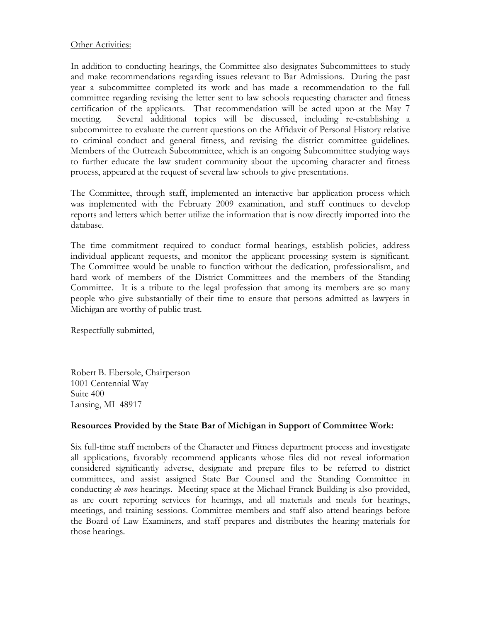#### Other Activities:

In addition to conducting hearings, the Committee also designates Subcommittees to study and make recommendations regarding issues relevant to Bar Admissions. During the past year a subcommittee completed its work and has made a recommendation to the full committee regarding revising the letter sent to law schools requesting character and fitness certification of the applicants. That recommendation will be acted upon at the May 7 meeting. Several additional topics will be discussed, including re-establishing a subcommittee to evaluate the current questions on the Affidavit of Personal History relative to criminal conduct and general fitness, and revising the district committee guidelines. Members of the Outreach Subcommittee, which is an ongoing Subcommittee studying ways to further educate the law student community about the upcoming character and fitness process, appeared at the request of several law schools to give presentations.

The Committee, through staff, implemented an interactive bar application process which was implemented with the February 2009 examination, and staff continues to develop reports and letters which better utilize the information that is now directly imported into the database.

The time commitment required to conduct formal hearings, establish policies, address individual applicant requests, and monitor the applicant processing system is significant. The Committee would be unable to function without the dedication, professionalism, and hard work of members of the District Committees and the members of the Standing Committee. It is a tribute to the legal profession that among its members are so many people who give substantially of their time to ensure that persons admitted as lawyers in Michigan are worthy of public trust.

Respectfully submitted,

Robert B. Ebersole, Chairperson 1001 Centennial Way Suite 400 Lansing, MI 48917

# **Resources Provided by the State Bar of Michigan in Support of Committee Work:**

Six full-time staff members of the Character and Fitness department process and investigate all applications, favorably recommend applicants whose files did not reveal information considered significantly adverse, designate and prepare files to be referred to district committees, and assist assigned State Bar Counsel and the Standing Committee in conducting *de novo* hearings. Meeting space at the Michael Franck Building is also provided, as are court reporting services for hearings, and all materials and meals for hearings, meetings, and training sessions. Committee members and staff also attend hearings before the Board of Law Examiners, and staff prepares and distributes the hearing materials for those hearings.